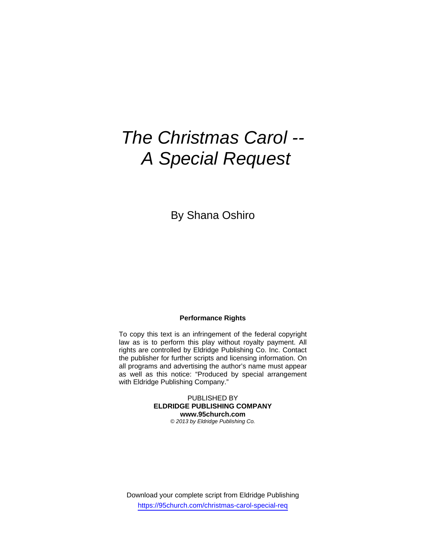# *The Christmas Carol -- A Special Request*

By Shana Oshiro

### **Performance Rights**

To copy this text is an infringement of the federal copyright law as is to perform this play without royalty payment. All rights are controlled by Eldridge Publishing Co. Inc. Contact the publisher for further scripts and licensing information. On all programs and advertising the author's name must appear as well as this notice: "Produced by special arrangement with Eldridge Publishing Company."

> PUBLISHED BY **ELDRIDGE PUBLISHING COMPANY www.95church.com**  *© 2013 by Eldridge Publishing Co.*

Download your complete script from Eldridge Publishing https://95church.com/christmas-carol-special-req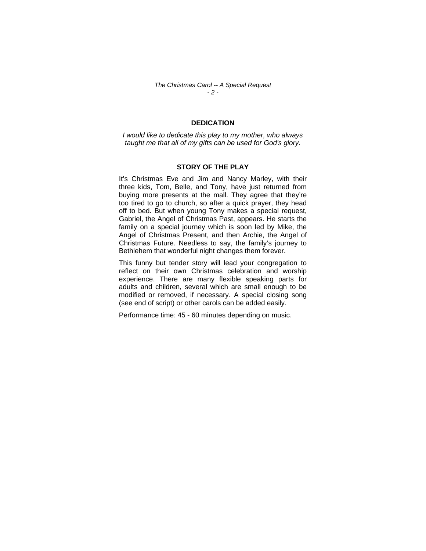*The Christmas Carol -- A Special Request - 2 -* 

## **DEDICATION**

*I would like to dedicate this play to my mother, who always taught me that all of my gifts can be used for God's glory.* 

#### **STORY OF THE PLAY**

It's Christmas Eve and Jim and Nancy Marley, with their three kids, Tom, Belle, and Tony, have just returned from buying more presents at the mall. They agree that they're too tired to go to church, so after a quick prayer, they head off to bed. But when young Tony makes a special request, Gabriel, the Angel of Christmas Past, appears. He starts the family on a special journey which is soon led by Mike, the Angel of Christmas Present, and then Archie, the Angel of Christmas Future. Needless to say, the family's journey to Bethlehem that wonderful night changes them forever.

This funny but tender story will lead your congregation to reflect on their own Christmas celebration and worship experience. There are many flexible speaking parts for adults and children, several which are small enough to be modified or removed, if necessary. A special closing song (see end of script) or other carols can be added easily.

Performance time: 45 - 60 minutes depending on music.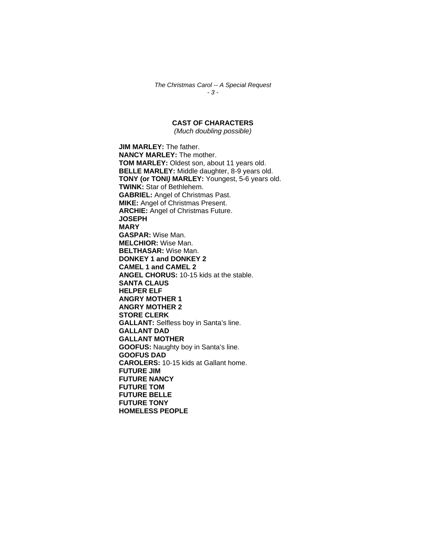*The Christmas Carol -- A Special Request - 3 -* 

# **CAST OF CHARACTERS**

*(Much doubling possible)* 

**JIM MARLEY:** The father. **NANCY MARLEY:** The mother. **TOM MARLEY:** Oldest son, about 11 years old. **BELLE MARLEY:** Middle daughter, 8-9 years old. **TONY (or TONI***)* **MARLEY:** Youngest, 5-6 years old. **TWINK:** Star of Bethlehem. **GABRIEL:** Angel of Christmas Past. **MIKE:** Angel of Christmas Present. **ARCHIE:** Angel of Christmas Future. **JOSEPH MARY GASPAR:** Wise Man. **MELCHIOR:** Wise Man. **BELTHASAR:** Wise Man. **DONKEY 1 and DONKEY 2 CAMEL 1 and CAMEL 2 ANGEL CHORUS:** 10-15 kids at the stable. **SANTA CLAUS HELPER ELF ANGRY MOTHER 1 ANGRY MOTHER 2 STORE CLERK GALLANT:** Selfless boy in Santa's line. **GALLANT DAD GALLANT MOTHER GOOFUS:** Naughty boy in Santa's line. **GOOFUS DAD CAROLERS:** 10-15 kids at Gallant home. **FUTURE JIM FUTURE NANCY FUTURE TOM FUTURE BELLE FUTURE TONY HOMELESS PEOPLE**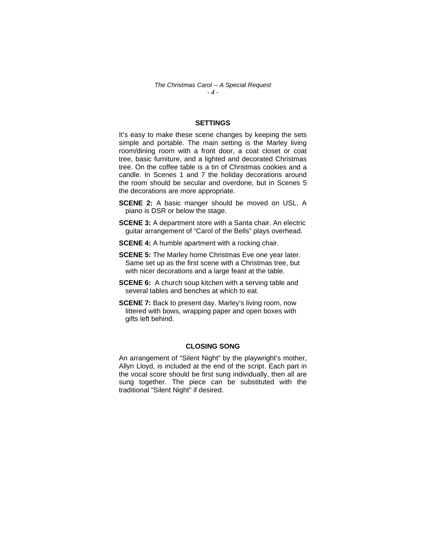*The Christmas Carol -- A Special Request - 4 -* 

## **SETTINGS**

It's easy to make these scene changes by keeping the sets simple and portable. The main setting is the Marley living room/dining room with a front door, a coat closet or coat tree, basic furniture, and a lighted and decorated Christmas tree. On the coffee table is a tin of Christmas cookies and a candle. In Scenes 1 and 7 the holiday decorations around the room should be secular and overdone, but in Scenes 5 the decorations are more appropriate.

- **SCENE 2:** A basic manger should be moved on USL. A piano is DSR or below the stage.
- **SCENE 3:** A department store with a Santa chair. An electric guitar arrangement of "Carol of the Bells" plays overhead.
- **SCENE 4:** A humble apartment with a rocking chair.
- **SCENE 5:** The Marley home Christmas Eve one year later. Same set up as the first scene with a Christmas tree, but with nicer decorations and a large feast at the table.
- **SCENE 6:** A church soup kitchen with a serving table and several tables and benches at which to eat.
- **SCENE 7:** Back to present day. Marley's living room, now littered with bows, wrapping paper and open boxes with gifts left behind.

#### **CLOSING SONG**

An arrangement of "Silent Night" by the playwright's mother, Allyn Lloyd, is included at the end of the script. Each part in the vocal score should be first sung individually, then all are sung together. The piece can be substituted with the traditional "Silent Night" if desired.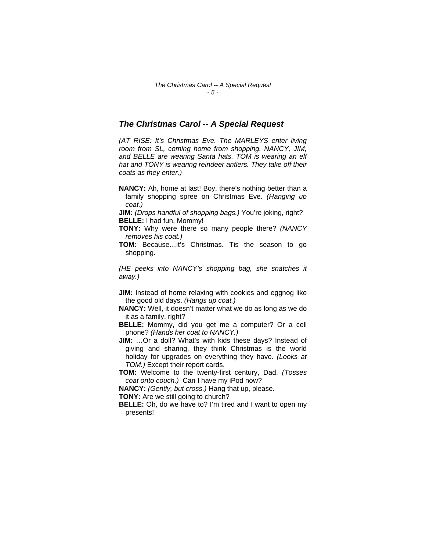## *The Christmas Carol -- A Special Request*

*(AT RISE: It's Christmas Eve. The MARLEYS enter living room from SL, coming home from shopping. NANCY, JIM, and BELLE are wearing Santa hats. TOM is wearing an elf hat and TONY is wearing reindeer antlers. They take off their coats as they enter.)* 

**NANCY:** Ah, home at last! Boy, there's nothing better than a family shopping spree on Christmas Eve. *(Hanging up coat.)* 

**JIM:** *(Drops handful of shopping bags.)* You're joking, right? **BELLE:** I had fun, Mommy!

- **TONY:** Why were there so many people there? *(NANCY removes his coat.)*
- **TOM:** Because…it's Christmas. Tis the season to go shopping.

*(HE peeks into NANCY's shopping bag, she snatches it away.)* 

- **JIM:** Instead of home relaxing with cookies and eggnog like the good old days. *(Hangs up coat.)*
- **NANCY:** Well, it doesn't matter what we do as long as we do it as a family, right?

**BELLE:** Mommy, did you get me a computer? Or a cell phone? *(Hands her coat to NANCY.)* 

**JIM:** …Or a doll? What's with kids these days? Instead of giving and sharing, they think Christmas is the world holiday for upgrades on everything they have. *(Looks at TOM.)* Except their report cards.

**TOM:** Welcome to the twenty-first century, Dad. *(Tosses coat onto couch.)* Can I have my iPod now?

**NANCY:** *(Gently, but cross.)* Hang that up, please.

**TONY:** Are we still going to church?

**BELLE:** Oh, do we have to? I'm tired and I want to open my presents!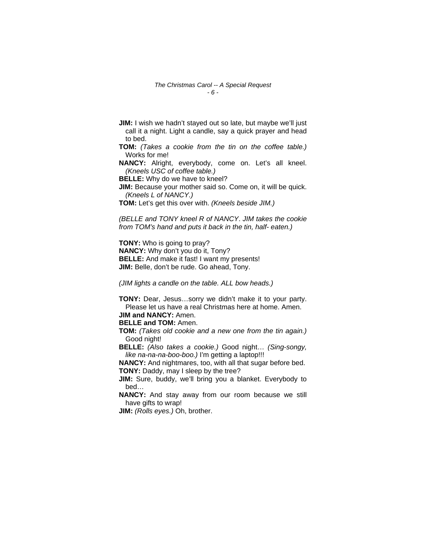- **JIM:** I wish we hadn't stayed out so late, but maybe we'll just call it a night. Light a candle, say a quick prayer and head to bed.
- **TOM:** *(Takes a cookie from the tin on the coffee table.)*  Works for me!

**NANCY:** Alright, everybody, come on. Let's all kneel. *(Kneels USC of coffee table.)* 

**BELLE:** Why do we have to kneel?

**JIM:** Because your mother said so. Come on, it will be quick. *(Kneels L of NANCY.)* 

**TOM:** Let's get this over with. *(Kneels beside JIM.)* 

*(BELLE and TONY kneel R of NANCY*. *JIM takes the cookie from TOM's hand and puts it back in the tin, half- eaten.)* 

**TONY:** Who is going to pray? **NANCY:** Why don't you do it, Tony? **BELLE:** And make it fast! I want my presents! **JIM:** Belle, don't be rude. Go ahead, Tony.

*(JIM lights a candle on the table. ALL bow heads.)* 

**TONY:** Dear, Jesus…sorry we didn't make it to your party. Please let us have a real Christmas here at home. Amen. **JIM and NANCY:** Amen.

**BELLE and TOM:** Amen.

**TOM:** *(Takes old cookie and a new one from the tin again.)*  Good night!

**BELLE:** *(Also takes a cookie.)* Good night… *(Sing-songy, like na-na-na-boo-boo.)* I'm getting a laptop!!!

**NANCY:** And nightmares, too, with all that sugar before bed. **TONY:** Daddy, may I sleep by the tree?

**JIM:** Sure, buddy, we'll bring you a blanket. Everybody to bed…

**NANCY:** And stay away from our room because we still have gifts to wrap!

**JIM:** *(Rolls eyes.)* Oh, brother.